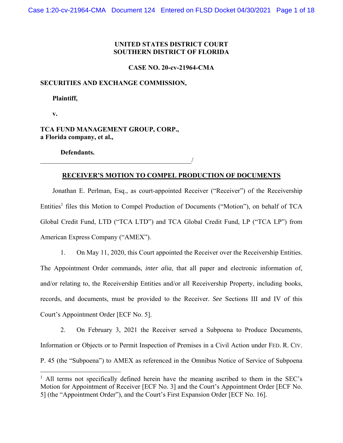# **UNITED STATES DISTRICT COURT SOUTHERN DISTRICT OF FLORIDA**

**CASE NO. 20-cv-21964-CMA** 

# **SECURITIES AND EXCHANGE COMMISSION,**

 **Plaintiff,** 

 **v.** 

 $\overline{a}$ 

# **TCA FUND MANAGEMENT GROUP, CORP., a Florida company, et al.,**

 $\overline{\phantom{a}}$ 

 **Defendants.** 

# **RECEIVER'S MOTION TO COMPEL PRODUCTION OF DOCUMENTS**

Jonathan E. Perlman, Esq., as court-appointed Receiver ("Receiver") of the Receivership Entities<sup>1</sup> files this Motion to Compel Production of Documents ("Motion"), on behalf of TCA Global Credit Fund, LTD ("TCA LTD") and TCA Global Credit Fund, LP ("TCA LP") from American Express Company ("AMEX").

1. On May 11, 2020, this Court appointed the Receiver over the Receivership Entities. The Appointment Order commands, *inter alia*, that all paper and electronic information of, and/or relating to, the Receivership Entities and/or all Receivership Property, including books, records, and documents, must be provided to the Receiver. *See* Sections III and IV of this Court's Appointment Order [ECF No. 5].

2. On February 3, 2021 the Receiver served a Subpoena to Produce Documents, Information or Objects or to Permit Inspection of Premises in a Civil Action under FED. R. CIV. P. 45 (the "Subpoena") to AMEX as referenced in the Omnibus Notice of Service of Subpoena

<sup>&</sup>lt;sup>1</sup> All terms not specifically defined herein have the meaning ascribed to them in the SEC's Motion for Appointment of Receiver [ECF No. 3] and the Court's Appointment Order [ECF No. 5] (the "Appointment Order"), and the Court's First Expansion Order [ECF No. 16].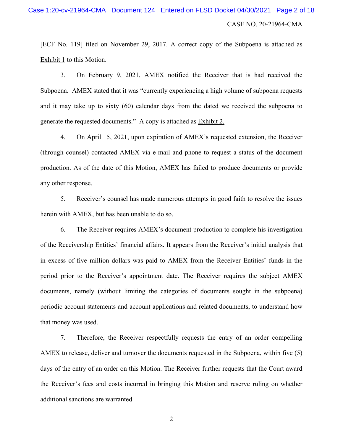# CASE NO. 20-21964-CMA Case 1:20-cv-21964-CMA Document 124 Entered on FLSD Docket 04/30/2021 Page 2 of 18

[ECF No. 119] filed on November 29, 2017. A correct copy of the Subpoena is attached as Exhibit 1 to this Motion.

3. On February 9, 2021, AMEX notified the Receiver that is had received the Subpoena. AMEX stated that it was "currently experiencing a high volume of subpoena requests and it may take up to sixty (60) calendar days from the dated we received the subpoena to generate the requested documents." A copy is attached as Exhibit 2.

4. On April 15, 2021, upon expiration of AMEX's requested extension, the Receiver (through counsel) contacted AMEX via e-mail and phone to request a status of the document production. As of the date of this Motion, AMEX has failed to produce documents or provide any other response.

5. Receiver's counsel has made numerous attempts in good faith to resolve the issues herein with AMEX, but has been unable to do so.

6. The Receiver requires AMEX's document production to complete his investigation of the Receivership Entities' financial affairs. It appears from the Receiver's initial analysis that in excess of five million dollars was paid to AMEX from the Receiver Entities' funds in the period prior to the Receiver's appointment date. The Receiver requires the subject AMEX documents, namely (without limiting the categories of documents sought in the subpoena) periodic account statements and account applications and related documents, to understand how that money was used.

7. Therefore, the Receiver respectfully requests the entry of an order compelling AMEX to release, deliver and turnover the documents requested in the Subpoena, within five (5) days of the entry of an order on this Motion. The Receiver further requests that the Court award the Receiver's fees and costs incurred in bringing this Motion and reserve ruling on whether additional sanctions are warranted

2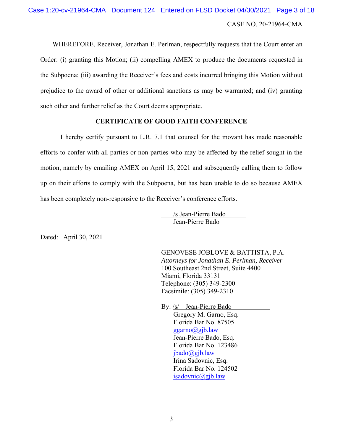# CASE NO. 20-21964-CMA Case 1:20-cv-21964-CMA Document 124 Entered on FLSD Docket 04/30/2021 Page 3 of 18

WHEREFORE, Receiver, Jonathan E. Perlman, respectfully requests that the Court enter an Order: (i) granting this Motion; (ii) compelling AMEX to produce the documents requested in the Subpoena; (iii) awarding the Receiver's fees and costs incurred bringing this Motion without prejudice to the award of other or additional sanctions as may be warranted; and (iv) granting such other and further relief as the Court deems appropriate.

# **CERTIFICATE OF GOOD FAITH CONFERENCE**

I hereby certify pursuant to L.R. 7.1 that counsel for the movant has made reasonable efforts to confer with all parties or non-parties who may be affected by the relief sought in the motion, namely by emailing AMEX on April 15, 2021 and subsequently calling them to follow up on their efforts to comply with the Subpoena, but has been unable to do so because AMEX has been completely non-responsive to the Receiver's conference efforts.

> /s Jean-Pierre Bado Jean-Pierre Bado

Dated: April 30, 2021

GENOVESE JOBLOVE & BATTISTA, P.A. *Attorneys for Jonathan E. Perlman, Receiver*  100 Southeast 2nd Street, Suite 4400 Miami, Florida 33131 Telephone: (305) 349-2300 Facsimile: (305) 349-2310

By: /s/ Jean-Pierre Bado Gregory M. Garno, Esq. Florida Bar No. 87505 ggarno@gjb.law Jean-Pierre Bado, Esq. Florida Bar No. 123486 jbado@gjb.law Irina Sadovnic, Esq. Florida Bar No. 124502 isadovnic@gjb.law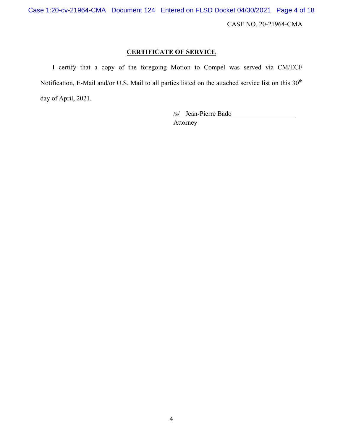CASE NO. 20-21964-CMA Case 1:20-cv-21964-CMA Document 124 Entered on FLSD Docket 04/30/2021 Page 4 of 18

# **CERTIFICATE OF SERVICE**

I certify that a copy of the foregoing Motion to Compel was served via CM/ECF Notification, E-Mail and/or U.S. Mail to all parties listed on the attached service list on this 30<sup>th</sup> day of April, 2021.

> /s/ Jean-Pierre Bado Attorney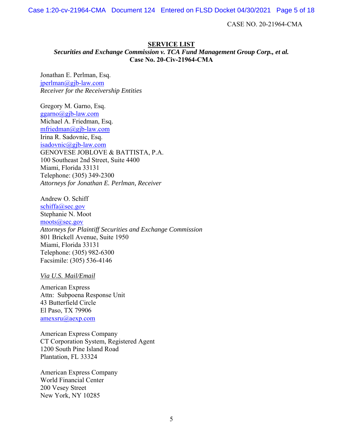Case 1:20-cv-21964-CMA Document 124 Entered on FLSD Docket 04/30/2021 Page 5 of 18

CASE NO. 20-21964-CMA

# **SERVICE LIST**

*Securities and Exchange Commission v. TCA Fund Management Group Corp., et al.*  **Case No. 20-Civ-21964-CMA** 

Jonathan E. Perlman, Esq. jperlman@gjb-law.com *Receiver for the Receivership Entities* 

Gregory M. Garno, Esq. ggarno@gjb-law.com Michael A. Friedman, Esq. mfriedman@gjb-law.com Irina R. Sadovnic, Esq. isadovnic@gjb-law.com GENOVESE JOBLOVE & BATTISTA, P.A. 100 Southeast 2nd Street, Suite 4400 Miami, Florida 33131 Telephone: (305) 349-2300 *Attorneys for Jonathan E. Perlman, Receiver* 

Andrew O. Schiff schiffa@sec.gov Stephanie N. Moot moots@sec.gov *Attorneys for Plaintiff Securities and Exchange Commission*  801 Brickell Avenue, Suite 1950 Miami, Florida 33131 Telephone: (305) 982-6300 Facsimile: (305) 536-4146

*Via U.S. Mail/Email* 

American Express Attn: Subpoena Response Unit 43 Butterfield Circle El Paso, TX 79906 amexsru@aexp.com

American Express Company CT Corporation System, Registered Agent 1200 South Pine Island Road Plantation, FL 33324

American Express Company World Financial Center 200 Vesey Street New York, NY 10285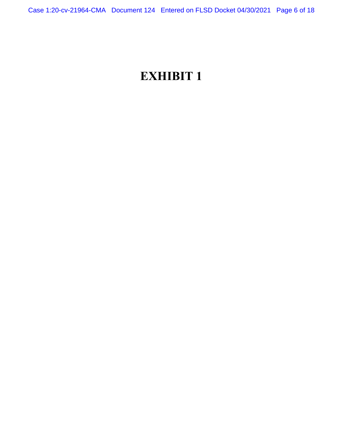# **EXHIBIT 1**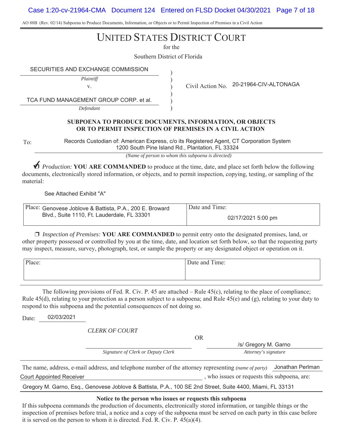Case 1:20-cv-21964-CMA Document 124 Entered on FLSD Docket 04/30/2021 Page 7 of 18

AO 88B (Rev. 02/14) Subpoena to Produce Documents, Information, or Objects or to Permit Inspection of Premises in a Civil Action

# UNITED STATES DISTRICT COURT

for the

) ) ) ) ) )

Southern District of Florida

SECURITIES AND EXCHANGE COMMISSION

*Plaintiff*

TCA FUND MANAGEMENT GROUP CORP. et al.

*Defendant*

v. Civil Action No. 20-21964-CIV-ALTONAGA

# **SUBPOENA TO PRODUCE DOCUMENTS, INFORMATION, OR OBJECTS OR TO PERMIT INSPECTION OF PREMISES IN A CIVIL ACTION**

To:

Records Custodian of: American Express, c/o its Registered Agent, CT Corporation System 1200 South Pine Island Rd., Plantation, FL 33324

*(Name of person to whom this subpoena is directed)*

★ *Production:* YOU ARE COMMANDED to produce at the time, date, and place set forth below the following documents, electronically stored information, or objects, and to permit inspection, copying, testing, or sampling of the material:

See Attached Exhibit "A"

| Place: Genovese Joblove & Battista, P.A., 200 E. Broward | Date and Time:     |
|----------------------------------------------------------|--------------------|
| Blyd., Suite 1110. Ft. Lauderdale. FL 33301              | 02/17/2021 5:00 pm |

u *Inspection of Premises:* **YOU ARE COMMANDED** to permit entry onto the designated premises, land, or other property possessed or controlled by you at the time, date, and location set forth below, so that the requesting party may inspect, measure, survey, photograph, test, or sample the property or any designated object or operation on it.

| Place: | Date and Time: |
|--------|----------------|
|        |                |
|        |                |

The following provisions of Fed. R. Civ. P. 45 are attached – Rule 45(c), relating to the place of compliance; Rule 45(d), relating to your protection as a person subject to a subpoena; and Rule 45(e) and (g), relating to your duty to respond to this subpoena and the potential consequences of not doing so.

Date: 02/03/2021

*CLERK OF COURT*

OR

Signature of Clerk or Deputy Clerk **Attorney's** signature /s/ Gregory M. Garno

The name, address, e-mail address, and telephone number of the attorney representing *(name of party)* Jonathan Perlman , who issues or requests this subpoena, are: Court Appointed Receiver

Gregory M. Garno, Esq., Genovese Joblove & Battista, P.A., 100 SE 2nd Street, Suite 4400, Miami, FL 33131

### **Notice to the person who issues or requests this subpoena**

If this subpoena commands the production of documents, electronically stored information, or tangible things or the inspection of premises before trial, a notice and a copy of the subpoena must be served on each party in this case before it is served on the person to whom it is directed. Fed. R. Civ. P. 45(a)(4).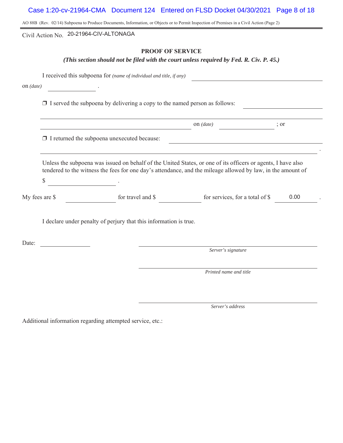Case 1:20-cv-21964-CMA Document 124 Entered on FLSD Docket 04/30/2021 Page 8 of 18

AO 88B (Rev. 02/14) Subpoena to Produce Documents, Information, or Objects or to Permit Inspection of Premises in a Civil Action (Page 2)

Civil Action No. 20-21964-CIV-ALTONAGA

# **PROOF OF SERVICE**

## *(This section should not be filed with the court unless required by Fed. R. Civ. P. 45.)*

I received this subpoena for *(name of individual and title, if any)*

on *(date)* .

 $\Box$  I served the subpoena by delivering a copy to the named person as follows:

|                                                    | on $(data)$ |  |
|----------------------------------------------------|-------------|--|
| $\Box$ I returned the subpoena unexecuted because: |             |  |

Unless the subpoena was issued on behalf of the United States, or one of its officers or agents, I have also tendered to the witness the fees for one day's attendance, and the mileage allowed by law, in the amount of

 $\begin{array}{c} \text{S} \end{array}$  .

| My fees are \$ | for travel and S | for services, for a total of S | 0.00 |  |
|----------------|------------------|--------------------------------|------|--|
|                |                  |                                |      |  |

I declare under penalty of perjury that this information is true.

Date:

*Server's signature*

.

*Printed name and title*

*Server's address*

Additional information regarding attempted service, etc.: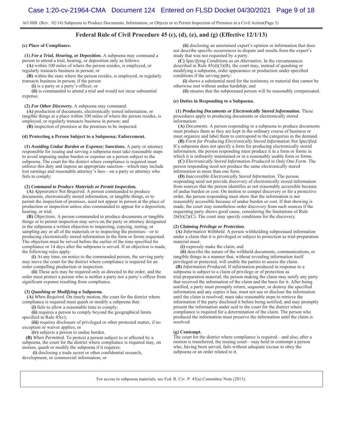AO 88B (Rev. 02/14) Subpoena to Produce Documents, Information, or Objects or to Permit Inspection of Premises in a Civil Action(Page 3)

### **Federal Rule of Civil Procedure 45 (c), (d), (e), and (g) (Effective 12/1/13)**

**(c) Place of Compliance.**

 **(1)** *For a Trial, Hearing, or Deposition.* A subpoena may command a person to attend a trial, hearing, or deposition only as follows:

 **(A)** within 100 miles of where the person resides, is employed, or regularly transacts business in person; or

 **(B)** within the state where the person resides, is employed, or regularly transacts business in person, if the person

 **(i)** is a party or a party's officer; or

 **(ii)** is commanded to attend a trial and would not incur substantial expense.

 **(2)** *For Other Discovery.* A subpoena may command:

 **(A)** production of documents, electronically stored information, or tangible things at a place within 100 miles of where the person resides, is employed, or regularly transacts business in person; and

 **(B)** inspection of premises at the premises to be inspected.

#### **(d) Protecting a Person Subject to a Subpoena; Enforcement.**

 **(1)** *Avoiding Undue Burden or Expense; Sanctions.* A party or attorney responsible for issuing and serving a subpoena must take reasonable steps to avoid imposing undue burden or expense on a person subject to the subpoena. The court for the district where compliance is required must enforce this duty and impose an appropriate sanction—which may include lost earnings and reasonable attorney's fees—on a party or attorney who fails to comply.

#### **(2)** *Command to Produce Materials or Permit Inspection.*

**(A)** *Appearance Not Required.* A person commanded to produce documents, electronically stored information, or tangible things, or to permit the inspection of premises, need not appear in person at the place of production or inspection unless also commanded to appear for a deposition, hearing, or trial.

**(B)** *Objections.* A person commanded to produce documents or tangible things or to permit inspection may serve on the party or attorney designated in the subpoena a written objection to inspecting, copying, testing, or sampling any or all of the materials or to inspecting the premises—or to producing electronically stored information in the form or forms requested. The objection must be served before the earlier of the time specified for compliance or 14 days after the subpoena is served. If an objection is made, the following rules apply:

**(i)** At any time, on notice to the commanded person, the serving party may move the court for the district where compliance is required for an order compelling production or inspection.

 **(ii)** These acts may be required only as directed in the order, and the order must protect a person who is neither a party nor a party's officer from significant expense resulting from compliance.

#### **(3)** *Quashing or Modifying a Subpoena.*

**(A)** *When Required.* On timely motion, the court for the district where compliance is required must quash or modify a subpoena that:

 **(i)** fails to allow a reasonable time to comply;

**(ii)** requires a person to comply beyond the geographical limits specified in Rule  $45(c)$ ;

**(iii)** requires disclosure of privileged or other protected matter, if no exception or waiver applies; or

**(iv)** subjects a person to undue burden.

**(B)** *When Permitted.* To protect a person subject to or affected by a subpoena, the court for the district where compliance is required may, on motion, quash or modify the subpoena if it requires:

**(i)** disclosing a trade secret or other confidential research, development, or commercial information; or

**(ii)** disclosing an unretained expert's opinion or information that does not describe specific occurrences in dispute and results from the expert's study that was not requested by a party.

**(C)** *Specifying Conditions as an Alternative.* In the circumstances described in Rule 45(d)(3)(B), the court may, instead of quashing or modifying a subpoena, order appearance or production under specified conditions if the serving party:

**(i)** shows a substantial need for the testimony or material that cannot be otherwise met without undue hardship; and

**(ii)** ensures that the subpoenaed person will be reasonably compensated.

#### **(e) Duties in Responding to a Subpoena.**

 **(1)** *Producing Documents or Electronically Stored Information.* These procedures apply to producing documents or electronically stored information:

**(A)** *Documents.* A person responding to a subpoena to produce documents must produce them as they are kept in the ordinary course of business or must organize and label them to correspond to the categories in the demand.

**(B)** *Form for Producing Electronically Stored Information Not Specified.* If a subpoena does not specify a form for producing electronically stored information, the person responding must produce it in a form or forms in which it is ordinarily maintained or in a reasonably usable form or forms.

**(C)** *Electronically Stored Information Produced in Only One Form.* The person responding need not produce the same electronically stored information in more than one form.

**(D)** *Inaccessible Electronically Stored Information.* The person responding need not provide discovery of electronically stored information from sources that the person identifies as not reasonably accessible because of undue burden or cost. On motion to compel discovery or for a protective order, the person responding must show that the information is not reasonably accessible because of undue burden or cost. If that showing is made, the court may nonetheless order discovery from such sources if the requesting party shows good cause, considering the limitations of Rule  $26(b)(2)(C)$ . The court may specify conditions for the discovery.

#### **(2)** *Claiming Privilege or Protection.*

**(A)** *Information Withheld.* A person withholding subpoenaed information under a claim that it is privileged or subject to protection as trial-preparation material must:

**(i)** expressly make the claim; and

**(ii)** describe the nature of the withheld documents, communications, or tangible things in a manner that, without revealing information itself privileged or protected, will enable the parties to assess the claim.

**(B)** *Information Produced.* If information produced in response to a subpoena is subject to a claim of privilege or of protection as trial-preparation material, the person making the claim may notify any party that received the information of the claim and the basis for it. After being notified, a party must promptly return, sequester, or destroy the specified information and any copies it has; must not use or disclose the information until the claim is resolved; must take reasonable steps to retrieve the information if the party disclosed it before being notified; and may promptly present the information under seal to the court for the district where compliance is required for a determination of the claim. The person who produced the information must preserve the information until the claim is resolved.

#### **(g) Contempt.**

The court for the district where compliance is required—and also, after a motion is transferred, the issuing court—may hold in contempt a person who, having been served, fails without adequate excuse to obey the subpoena or an order related to it.

For access to subpoena materials, see Fed. R. Civ. P. 45(a) Committee Note (2013).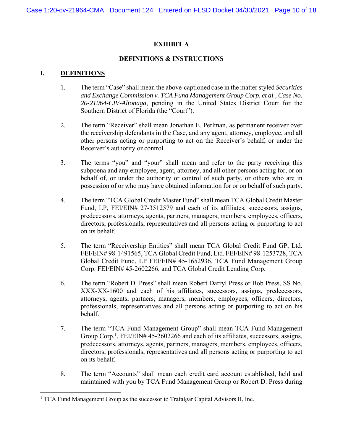# **EXHIBIT A**

# **DEFINITIONS & INSTRUCTIONS**

# **I. DEFINITIONS**

- 1. The term "Case" shall mean the above-captioned case in the matter styled *Securities and Exchange Commission v. TCA Fund Management Group Corp, et al., Case No. 20-21964-CIV-Altonaga*, pending in the United States District Court for the Southern District of Florida (the "Court").
- 2. The term "Receiver" shall mean Jonathan E. Perlman, as permanent receiver over the receivership defendants in the Case, and any agent, attorney, employee, and all other persons acting or purporting to act on the Receiver's behalf, or under the Receiver's authority or control.
- 3. The terms "you" and "your" shall mean and refer to the party receiving this subpoena and any employee, agent, attorney, and all other persons acting for, or on behalf of, or under the authority or control of such party, or others who are in possession of or who may have obtained information for or on behalf of such party.
- 4. The term "TCA Global Credit Master Fund" shall mean TCA Global Credit Master Fund, LP, FEI/EIN# 27-3512579 and each of its affiliates, successors, assigns, predecessors, attorneys, agents, partners, managers, members, employees, officers, directors, professionals, representatives and all persons acting or purporting to act on its behalf.
- 5. The term "Receivership Entities" shall mean TCA Global Credit Fund GP, Ltd. FEI/EIN# 98-1491565, TCA Global Credit Fund, Ltd. FEI/EIN# 98-1253728, TCA Global Credit Fund, LP FEI/EIN# 45-1652936, TCA Fund Management Group Corp. FEI/EIN# 45-2602266, and TCA Global Credit Lending Corp.
- 6. The term "Robert D. Press" shall mean Robert Darryl Press or Bob Press, SS No. XXX-XX-1600 and each of his affiliates, successors, assigns, predecessors, attorneys, agents, partners, managers, members, employees, officers, directors, professionals, representatives and all persons acting or purporting to act on his behalf.
- 7. The term "TCA Fund Management Group" shall mean TCA Fund Management Group Corp.<sup>1</sup>, FEI/EIN# 45-2602266 and each of its affiliates, successors, assigns, predecessors, attorneys, agents, partners, managers, members, employees, officers, directors, professionals, representatives and all persons acting or purporting to act on its behalf.
- 8. The term "Accounts" shall mean each credit card account established, held and maintained with you by TCA Fund Management Group or Robert D. Press during

<sup>&</sup>lt;sup>1</sup> TCA Fund Management Group as the successor to Trafalgar Capital Advisors II, Inc.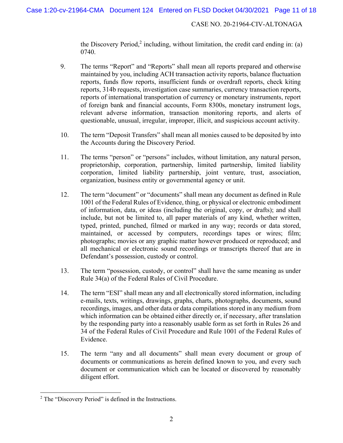the Discovery Period,<sup>2</sup> including, without limitation, the credit card ending in: (a) 0740.

- 9. The terms "Report" and "Reports" shall mean all reports prepared and otherwise maintained by you, including ACH transaction activity reports, balance fluctuation reports, funds flow reports, insufficient funds or overdraft reports, check kiting reports, 314b requests, investigation case summaries, currency transaction reports, reports of international transportation of currency or monetary instruments, report of foreign bank and financial accounts, Form 8300s, monetary instrument logs, relevant adverse information, transaction monitoring reports, and alerts of questionable, unusual, irregular, improper, illicit, and suspicious account activity.
- 10. The term "Deposit Transfers" shall mean all monies caused to be deposited by into the Accounts during the Discovery Period.
- 11. The terms "person" or "persons" includes, without limitation, any natural person, proprietorship, corporation, partnership, limited partnership, limited liability corporation, limited liability partnership, joint venture, trust, association, organization, business entity or governmental agency or unit.
- 12. The term "document" or "documents" shall mean any document as defined in Rule 1001 of the Federal Rules of Evidence, thing, or physical or electronic embodiment of information, data, or ideas (including the original, copy, or drafts); and shall include, but not be limited to, all paper materials of any kind, whether written, typed, printed, punched, filmed or marked in any way; records or data stored, maintained, or accessed by computers, recordings tapes or wires; film; photographs; movies or any graphic matter however produced or reproduced; and all mechanical or electronic sound recordings or transcripts thereof that are in Defendant's possession, custody or control.
- 13. The term "possession, custody, or control" shall have the same meaning as under Rule 34(a) of the Federal Rules of Civil Procedure.
- 14. The term "ESI" shall mean any and all electronically stored information, including e-mails, texts, writings, drawings, graphs, charts, photographs, documents, sound recordings, images, and other data or data compilations stored in any medium from which information can be obtained either directly or, if necessary, after translation by the responding party into a reasonably usable form as set forth in Rules 26 and 34 of the Federal Rules of Civil Procedure and Rule 1001 of the Federal Rules of Evidence.
- 15. The term "any and all documents" shall mean every document or group of documents or communications as herein defined known to you, and every such document or communication which can be located or discovered by reasonably diligent effort.

<sup>&</sup>lt;sup>2</sup> The "Discovery Period" is defined in the Instructions.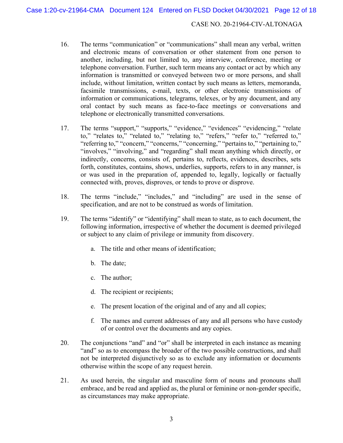- 16. The terms "communication" or "communications" shall mean any verbal, written and electronic means of conversation or other statement from one person to another, including, but not limited to, any interview, conference, meeting or telephone conversation. Further, such term means any contact or act by which any information is transmitted or conveyed between two or more persons, and shall include, without limitation, written contact by such means as letters, memoranda, facsimile transmissions, e-mail, texts, or other electronic transmissions of information or communications, telegrams, telexes, or by any document, and any oral contact by such means as face-to-face meetings or conversations and telephone or electronically transmitted conversations.
- 17. The terms "support," "supports," "evidence," "evidences" "evidencing," "relate to," "relates to," "related to," "relating to," "refers," "refer to," "referred to," "referring to," "concern," "concerns," "concerning," "pertains to," "pertaining to," "involves," "involving," and "regarding" shall mean anything which directly, or indirectly, concerns, consists of, pertains to, reflects, evidences, describes, sets forth, constitutes, contains, shows, underlies, supports, refers to in any manner, is or was used in the preparation of, appended to, legally, logically or factually connected with, proves, disproves, or tends to prove or disprove.
- 18. The terms "include," "includes," and "including" are used in the sense of specification, and are not to be construed as words of limitation.
- 19. The terms "identify" or "identifying" shall mean to state, as to each document, the following information, irrespective of whether the document is deemed privileged or subject to any claim of privilege or immunity from discovery.
	- a. The title and other means of identification;
	- b. The date;
	- c. The author;
	- d. The recipient or recipients;
	- e. The present location of the original and of any and all copies;
	- f. The names and current addresses of any and all persons who have custody of or control over the documents and any copies.
- 20. The conjunctions "and" and "or" shall be interpreted in each instance as meaning "and" so as to encompass the broader of the two possible constructions, and shall not be interpreted disjunctively so as to exclude any information or documents otherwise within the scope of any request herein.
- 21. As used herein, the singular and masculine form of nouns and pronouns shall embrace, and be read and applied as, the plural or feminine or non-gender specific, as circumstances may make appropriate.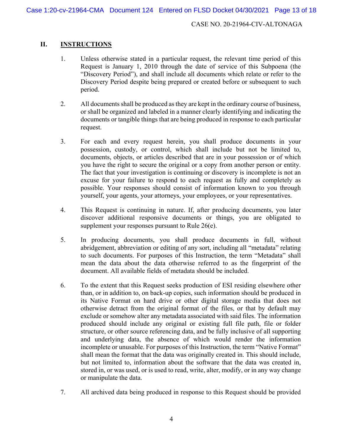# **II. INSTRUCTIONS**

- 1. Unless otherwise stated in a particular request, the relevant time period of this Request is January 1, 2010 through the date of service of this Subpoena (the "Discovery Period"), and shall include all documents which relate or refer to the Discovery Period despite being prepared or created before or subsequent to such period.
- 2. All documents shall be produced as they are kept in the ordinary course of business, or shall be organized and labeled in a manner clearly identifying and indicating the documents or tangible things that are being produced in response to each particular request.
- 3. For each and every request herein, you shall produce documents in your possession, custody, or control, which shall include but not be limited to, documents, objects, or articles described that are in your possession or of which you have the right to secure the original or a copy from another person or entity. The fact that your investigation is continuing or discovery is incomplete is not an excuse for your failure to respond to each request as fully and completely as possible. Your responses should consist of information known to you through yourself, your agents, your attorneys, your employees, or your representatives.
- 4. This Request is continuing in nature. If, after producing documents, you later discover additional responsive documents or things, you are obligated to supplement your responses pursuant to Rule 26(e).
- 5. In producing documents, you shall produce documents in full, without abridgement, abbreviation or editing of any sort, including all "metadata" relating to such documents. For purposes of this Instruction, the term "Metadata" shall mean the data about the data otherwise referred to as the fingerprint of the document. All available fields of metadata should be included.
- 6. To the extent that this Request seeks production of ESI residing elsewhere other than, or in addition to, on back-up copies, such information should be produced in its Native Format on hard drive or other digital storage media that does not otherwise detract from the original format of the files, or that by default may exclude or somehow alter any metadata associated with said files. The information produced should include any original or existing full file path, file or folder structure, or other source referencing data, and be fully inclusive of all supporting and underlying data, the absence of which would render the information incomplete or unusable. For purposes of this Instruction, the term "Native Format" shall mean the format that the data was originally created in. This should include, but not limited to, information about the software that the data was created in, stored in, or was used, or is used to read, write, alter, modify, or in any way change or manipulate the data.
- 7. All archived data being produced in response to this Request should be provided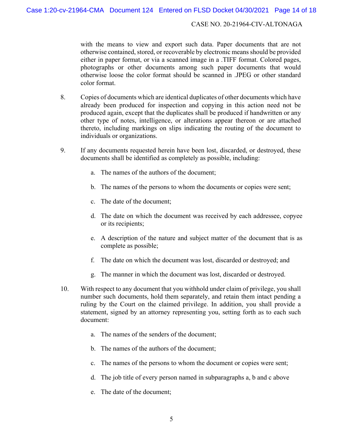with the means to view and export such data. Paper documents that are not otherwise contained, stored, or recoverable by electronic means should be provided either in paper format, or via a scanned image in a .TIFF format. Colored pages, photographs or other documents among such paper documents that would otherwise loose the color format should be scanned in .JPEG or other standard color format.

- 8. Copies of documents which are identical duplicates of other documents which have already been produced for inspection and copying in this action need not be produced again, except that the duplicates shall be produced if handwritten or any other type of notes, intelligence, or alterations appear thereon or are attached thereto, including markings on slips indicating the routing of the document to individuals or organizations.
- 9. If any documents requested herein have been lost, discarded, or destroyed, these documents shall be identified as completely as possible, including:
	- a. The names of the authors of the document;
	- b. The names of the persons to whom the documents or copies were sent;
	- c. The date of the document;
	- d. The date on which the document was received by each addressee, copyee or its recipients;
	- e. A description of the nature and subject matter of the document that is as complete as possible;
	- f. The date on which the document was lost, discarded or destroyed; and
	- g. The manner in which the document was lost, discarded or destroyed.
- 10. With respect to any document that you withhold under claim of privilege, you shall number such documents, hold them separately, and retain them intact pending a ruling by the Court on the claimed privilege. In addition, you shall provide a statement, signed by an attorney representing you, setting forth as to each such document:
	- a. The names of the senders of the document;
	- b. The names of the authors of the document;
	- c. The names of the persons to whom the document or copies were sent;
	- d. The job title of every person named in subparagraphs a, b and c above
	- e. The date of the document;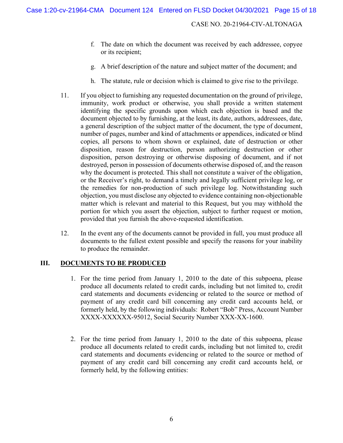- f. The date on which the document was received by each addressee, copyee or its recipient;
- g. A brief description of the nature and subject matter of the document; and
- h. The statute, rule or decision which is claimed to give rise to the privilege.
- 11. If you object to furnishing any requested documentation on the ground of privilege, immunity, work product or otherwise, you shall provide a written statement identifying the specific grounds upon which each objection is based and the document objected to by furnishing, at the least, its date, authors, addressees, date, a general description of the subject matter of the document, the type of document, number of pages, number and kind of attachments or appendices, indicated or blind copies, all persons to whom shown or explained, date of destruction or other disposition, reason for destruction, person authorizing destruction or other disposition, person destroying or otherwise disposing of document, and if not destroyed, person in possession of documents otherwise disposed of, and the reason why the document is protected. This shall not constitute a waiver of the obligation, or the Receiver's right, to demand a timely and legally sufficient privilege log, or the remedies for non-production of such privilege log. Notwithstanding such objection, you must disclose any objected to evidence containing non-objectionable matter which is relevant and material to this Request, but you may withhold the portion for which you assert the objection, subject to further request or motion, provided that you furnish the above-requested identification.
- 12. In the event any of the documents cannot be provided in full, you must produce all documents to the fullest extent possible and specify the reasons for your inability to produce the remainder.

# **III.** DOCUMENTS TO BE PRODUCED

- 1. For the time period from January 1, 2010 to the date of this subpoena, please produce all documents related to credit cards, including but not limited to, credit card statements and documents evidencing or related to the source or method of payment of any credit card bill concerning any credit card accounts held, or formerly held, by the following individuals: Robert "Bob" Press, Account Number XXXX-XXXXXX-95012, Social Security Number XXX-XX-1600.
- 2. For the time period from January 1, 2010 to the date of this subpoena, please produce all documents related to credit cards, including but not limited to, credit card statements and documents evidencing or related to the source or method of payment of any credit card bill concerning any credit card accounts held, or formerly held, by the following entities: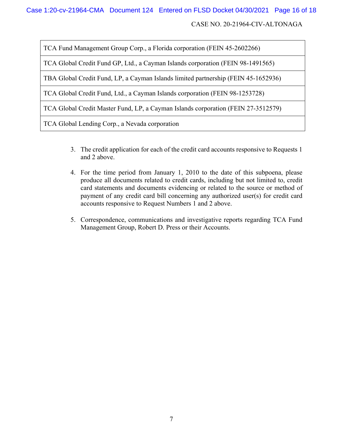TCA Fund Management Group Corp., a Florida corporation (FEIN 45-2602266)

TCA Global Credit Fund GP, Ltd., a Cayman Islands corporation (FEIN 98-1491565)

TBA Global Credit Fund, LP, a Cayman Islands limited partnership (FEIN 45-1652936)

TCA Global Credit Fund, Ltd., a Cayman Islands corporation (FEIN 98-1253728)

TCA Global Credit Master Fund, LP, a Cayman Islands corporation (FEIN 27-3512579)

TCA Global Lending Corp., a Nevada corporation

- 3. The credit application for each of the credit card accounts responsive to Requests 1 and 2 above.
- 4. For the time period from January 1, 2010 to the date of this subpoena, please produce all documents related to credit cards, including but not limited to, credit card statements and documents evidencing or related to the source or method of payment of any credit card bill concerning any authorized user(s) for credit card accounts responsive to Request Numbers 1 and 2 above.
- 5. Correspondence, communications and investigative reports regarding TCA Fund Management Group, Robert D. Press or their Accounts.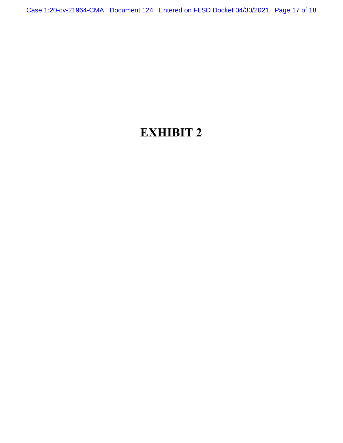Case 1:20-cv-21964-CMA Document 124 Entered on FLSD Docket 04/30/2021 Page 17 of 18

# **EXHIBIT 2**